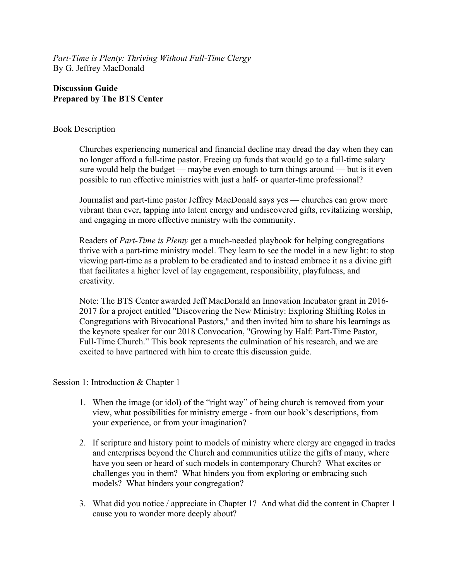*Part-Time is Plenty: Thriving Without Full-Time Clergy* By G. Jeffrey MacDonald

# **Discussion Guide Prepared by The BTS Center**

## Book Description

Churches experiencing numerical and financial decline may dread the day when they can no longer afford a full-time pastor. Freeing up funds that would go to a full-time salary sure would help the budget — maybe even enough to turn things around — but is it even possible to run effective ministries with just a half- or quarter-time professional?

Journalist and part-time pastor Jeffrey MacDonald says yes — churches can grow more vibrant than ever, tapping into latent energy and undiscovered gifts, revitalizing worship, and engaging in more effective ministry with the community.

Readers of *Part-Time is Plenty* get a much-needed playbook for helping congregations thrive with a part-time ministry model. They learn to see the model in a new light: to stop viewing part-time as a problem to be eradicated and to instead embrace it as a divine gift that facilitates a higher level of lay engagement, responsibility, playfulness, and creativity.

Note: The BTS Center awarded Jeff MacDonald an Innovation Incubator grant in 2016- 2017 for a project entitled "Discovering the New Ministry: Exploring Shifting Roles in Congregations with Bivocational Pastors," and then invited him to share his learnings as the keynote speaker for our 2018 Convocation, "Growing by Half: Part-Time Pastor, Full-Time Church." This book represents the culmination of his research, and we are excited to have partnered with him to create this discussion guide.

#### Session 1: Introduction & Chapter 1

- 1. When the image (or idol) of the "right way" of being church is removed from your view, what possibilities for ministry emerge - from our book's descriptions, from your experience, or from your imagination?
- 2. If scripture and history point to models of ministry where clergy are engaged in trades and enterprises beyond the Church and communities utilize the gifts of many, where have you seen or heard of such models in contemporary Church? What excites or challenges you in them? What hinders you from exploring or embracing such models? What hinders your congregation?
- 3. What did you notice / appreciate in Chapter 1? And what did the content in Chapter 1 cause you to wonder more deeply about?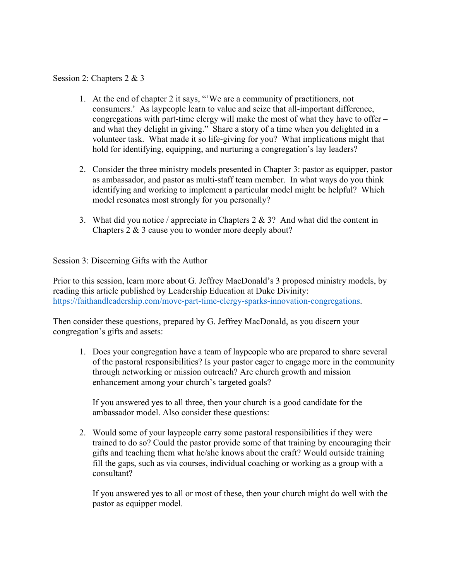# Session 2: Chapters 2 & 3

- 1. At the end of chapter 2 it says, "'We are a community of practitioners, not consumers.' As laypeople learn to value and seize that all-important difference, congregations with part-time clergy will make the most of what they have to offer – and what they delight in giving." Share a story of a time when you delighted in a volunteer task. What made it so life-giving for you? What implications might that hold for identifying, equipping, and nurturing a congregation's lay leaders?
- 2. Consider the three ministry models presented in Chapter 3: pastor as equipper, pastor as ambassador, and pastor as multi-staff team member. In what ways do you think identifying and working to implement a particular model might be helpful? Which model resonates most strongly for you personally?
- 3. What did you notice / appreciate in Chapters 2 & 3? And what did the content in Chapters 2 & 3 cause you to wonder more deeply about?

Session 3: Discerning Gifts with the Author

Prior to this session, learn more about G. Jeffrey MacDonald's 3 proposed ministry models, by reading this article published by Leadership Education at Duke Divinity: https://faithandleadership.com/move-part-time-clergy-sparks-innovation-congregations.

Then consider these questions, prepared by G. Jeffrey MacDonald, as you discern your congregation's gifts and assets:

1. Does your congregation have a team of laypeople who are prepared to share several of the pastoral responsibilities? Is your pastor eager to engage more in the community through networking or mission outreach? Are church growth and mission enhancement among your church's targeted goals?

If you answered yes to all three, then your church is a good candidate for the ambassador model. Also consider these questions:

2. Would some of your laypeople carry some pastoral responsibilities if they were trained to do so? Could the pastor provide some of that training by encouraging their gifts and teaching them what he/she knows about the craft? Would outside training fill the gaps, such as via courses, individual coaching or working as a group with a consultant?

If you answered yes to all or most of these, then your church might do well with the pastor as equipper model.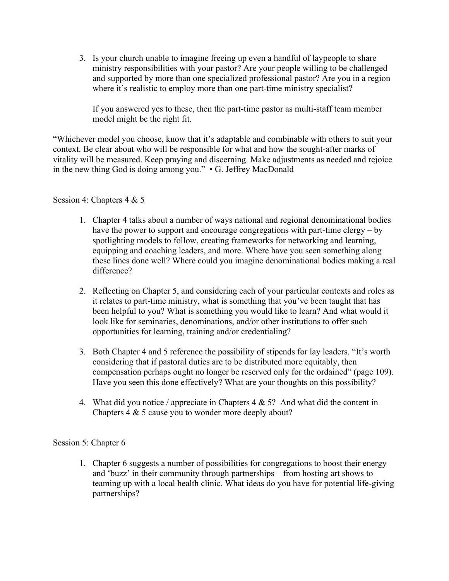3. Is your church unable to imagine freeing up even a handful of laypeople to share ministry responsibilities with your pastor? Are your people willing to be challenged and supported by more than one specialized professional pastor? Are you in a region where it's realistic to employ more than one part-time ministry specialist?

If you answered yes to these, then the part-time pastor as multi-staff team member model might be the right fit.

"Whichever model you choose, know that it's adaptable and combinable with others to suit your context. Be clear about who will be responsible for what and how the sought-after marks of vitality will be measured. Keep praying and discerning. Make adjustments as needed and rejoice in the new thing God is doing among you." • G. Jeffrey MacDonald

Session 4: Chapters 4 & 5

- 1. Chapter 4 talks about a number of ways national and regional denominational bodies have the power to support and encourage congregations with part-time clergy – by spotlighting models to follow, creating frameworks for networking and learning, equipping and coaching leaders, and more. Where have you seen something along these lines done well? Where could you imagine denominational bodies making a real difference?
- 2. Reflecting on Chapter 5, and considering each of your particular contexts and roles as it relates to part-time ministry, what is something that you've been taught that has been helpful to you? What is something you would like to learn? And what would it look like for seminaries, denominations, and/or other institutions to offer such opportunities for learning, training and/or credentialing?
- 3. Both Chapter 4 and 5 reference the possibility of stipends for lay leaders. "It's worth considering that if pastoral duties are to be distributed more equitably, then compensation perhaps ought no longer be reserved only for the ordained" (page 109). Have you seen this done effectively? What are your thoughts on this possibility?
- 4. What did you notice / appreciate in Chapters  $4 \& 5$ ? And what did the content in Chapters 4 & 5 cause you to wonder more deeply about?

## Session 5: Chapter 6

1. Chapter 6 suggests a number of possibilities for congregations to boost their energy and 'buzz' in their community through partnerships – from hosting art shows to teaming up with a local health clinic. What ideas do you have for potential life-giving partnerships?